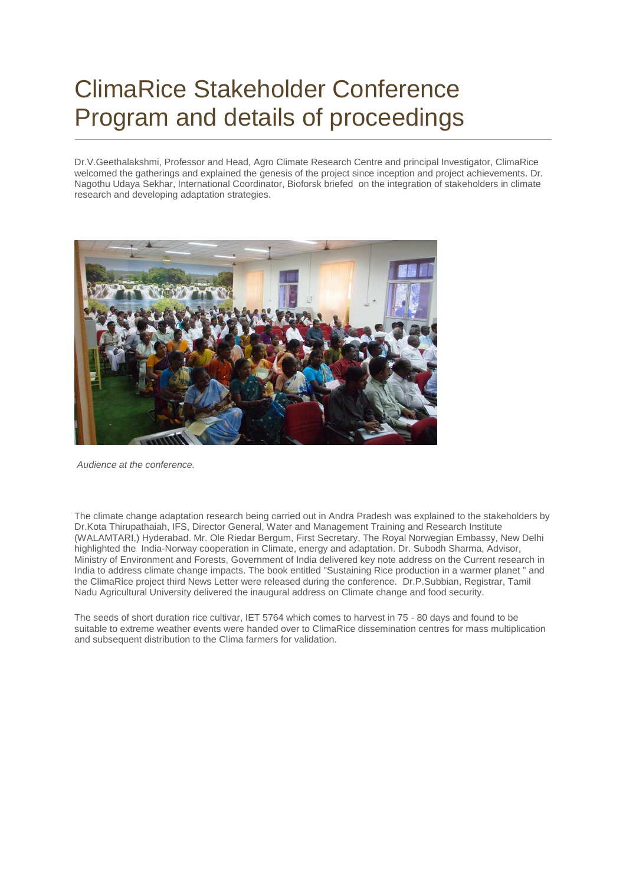## ClimaRice Stakeholder Conference Program and details of proceedings

Dr.V.Geethalakshmi, Professor and Head, Agro Climate Research Centre and principal Investigator, ClimaRice welcomed the gatherings and explained the genesis of the project since inception and project achievements. Dr. Nagothu Udaya Sekhar, International Coordinator, Bioforsk briefed on the integration of stakeholders in climate research and developing adaptation strategies.



*Audience at the conference.*

The climate change adaptation research being carried out in Andra Pradesh was explained to the stakeholders by Dr.Kota Thirupathaiah, IFS, Director General, Water and Management Training and Research Institute (WALAMTARI,) Hyderabad. Mr. Ole Riedar Bergum, First Secretary, The Royal Norwegian Embassy, New Delhi highlighted the India-Norway cooperation in Climate, energy and adaptation. Dr. Subodh Sharma, Advisor, Ministry of Environment and Forests, Government of India delivered key note address on the Current research in India to address climate change impacts. The book entitled "Sustaining Rice production in a warmer planet " and the ClimaRice project third News Letter were released during the conference. Dr.P.Subbian, Registrar, Tamil Nadu Agricultural University delivered the inaugural address on Climate change and food security.

The seeds of short duration rice cultivar, IET 5764 which comes to harvest in 75 - 80 days and found to be suitable to extreme weather events were handed over to ClimaRice dissemination centres for mass multiplication and subsequent distribution to the Clima farmers for validation.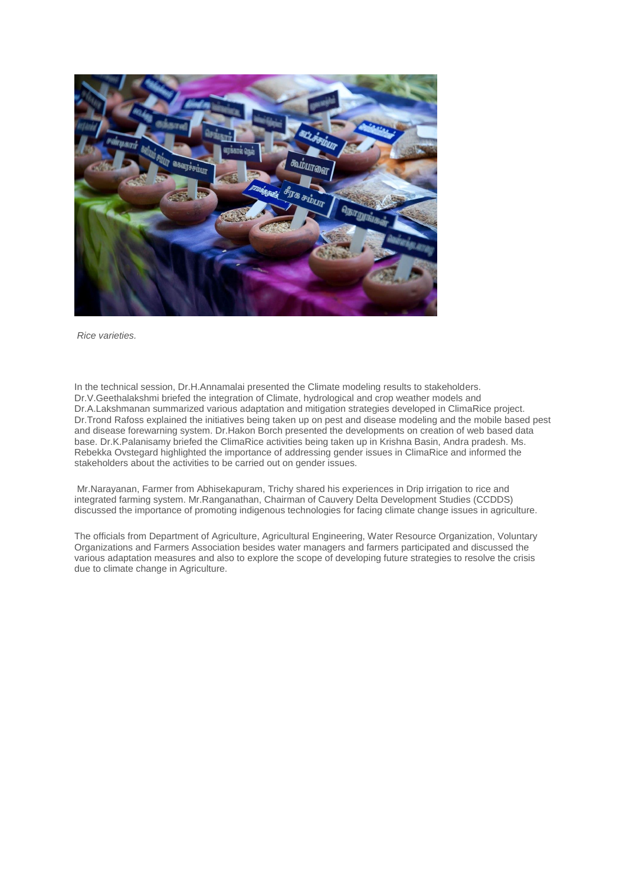

*Rice varieties.*

In the technical session, Dr.H.Annamalai presented the Climate modeling results to stakeholders. Dr.V.Geethalakshmi briefed the integration of Climate, hydrological and crop weather models and Dr.A.Lakshmanan summarized various adaptation and mitigation strategies developed in ClimaRice project. Dr.Trond Rafoss explained the initiatives being taken up on pest and disease modeling and the mobile based pest and disease forewarning system. Dr.Hakon Borch presented the developments on creation of web based data base. Dr.K.Palanisamy briefed the ClimaRice activities being taken up in Krishna Basin, Andra pradesh. Ms. Rebekka Ovstegard highlighted the importance of addressing gender issues in ClimaRice and informed the stakeholders about the activities to be carried out on gender issues.

Mr.Narayanan, Farmer from Abhisekapuram, Trichy shared his experiences in Drip irrigation to rice and integrated farming system. Mr.Ranganathan, Chairman of Cauvery Delta Development Studies (CCDDS) discussed the importance of promoting indigenous technologies for facing climate change issues in agriculture.

The officials from Department of Agriculture, Agricultural Engineering, Water Resource Organization, Voluntary Organizations and Farmers Association besides water managers and farmers participated and discussed the various adaptation measures and also to explore the scope of developing future strategies to resolve the crisis due to climate change in Agriculture.